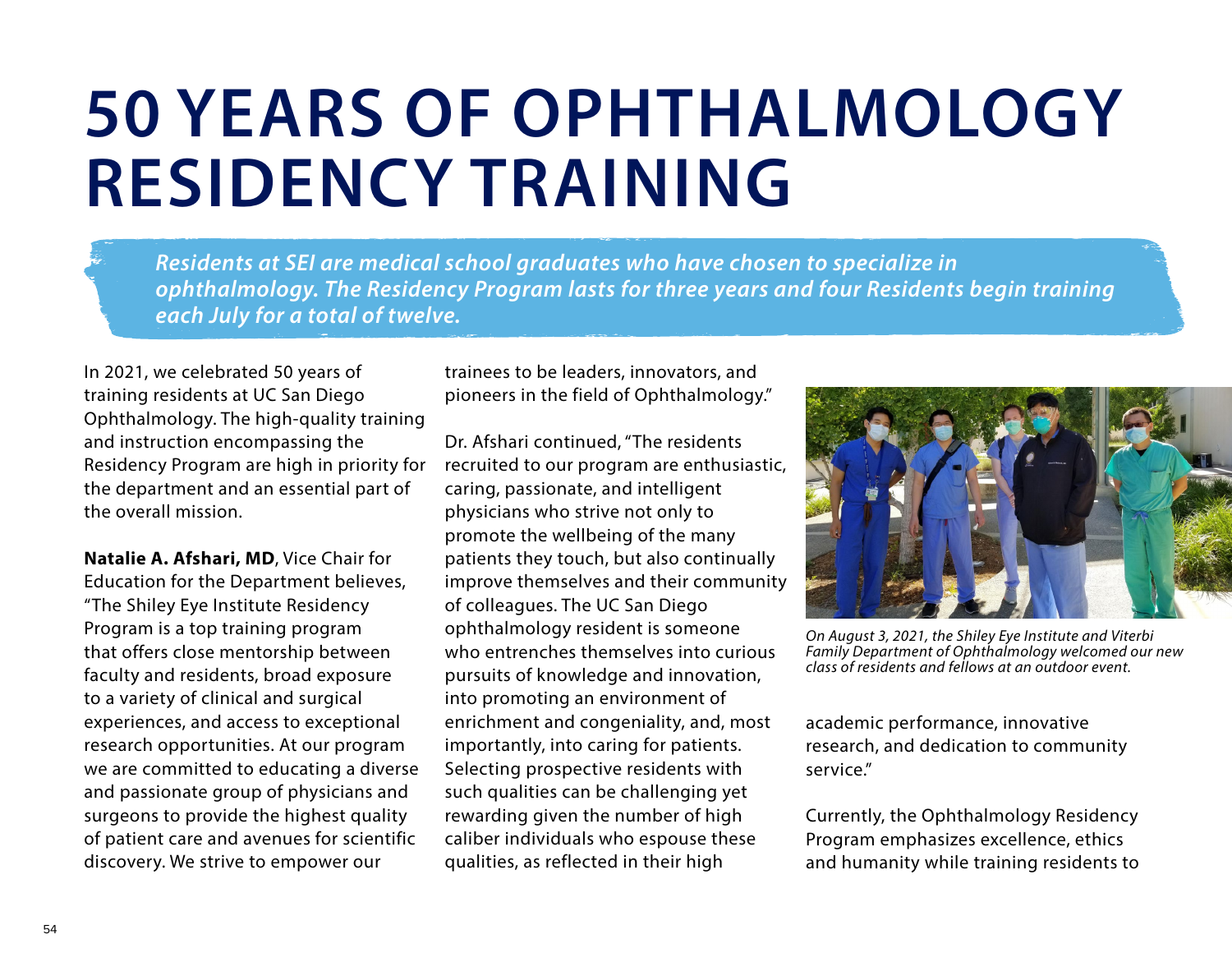## **50 YEARS OF OPHTHALMOLOGY RESIDENCY TRAINING**

*Residents at SEI are medical school graduates who have chosen to specialize in ophthalmology. The Residency Program lasts for three years and four Residents begin training each July for a total of twelve.*

In 2021, we celebrated 50 years of training residents at UC San Diego Ophthalmology. The high-quality training and instruction encompassing the Residency Program are high in priority for the department and an essential part of the overall mission.

**Natalie A. Afshari, MD**, Vice Chair for Education for the Department believes, "The Shiley Eye Institute Residency Program is a top training program that offers close mentorship between faculty and residents, broad exposure to a variety of clinical and surgical experiences, and access to exceptional research opportunities. At our program we are committed to educating a diverse and passionate group of physicians and surgeons to provide the highest quality of patient care and avenues for scientific discovery. We strive to empower our

trainees to be leaders, innovators, and pioneers in the field of Ophthalmology."

Dr. Afshari continued, "The residents recruited to our program are enthusiastic, caring, passionate, and intelligent physicians who strive not only to promote the wellbeing of the many patients they touch, but also continually improve themselves and their community of colleagues. The UC San Diego ophthalmology resident is someone who entrenches themselves into curious pursuits of knowledge and innovation, into promoting an environment of enrichment and congeniality, and, most importantly, into caring for patients. Selecting prospective residents with such qualities can be challenging yet rewarding given the number of high caliber individuals who espouse these qualities, as reflected in their high



*On August 3, 2021, the Shiley Eye Institute and Viterbi Family Department of Ophthalmology welcomed our new class of residents and fellows at an outdoor event.*

academic performance, innovative research, and dedication to community service."

Currently, the Ophthalmology Residency Program emphasizes excellence, ethics and humanity while training residents to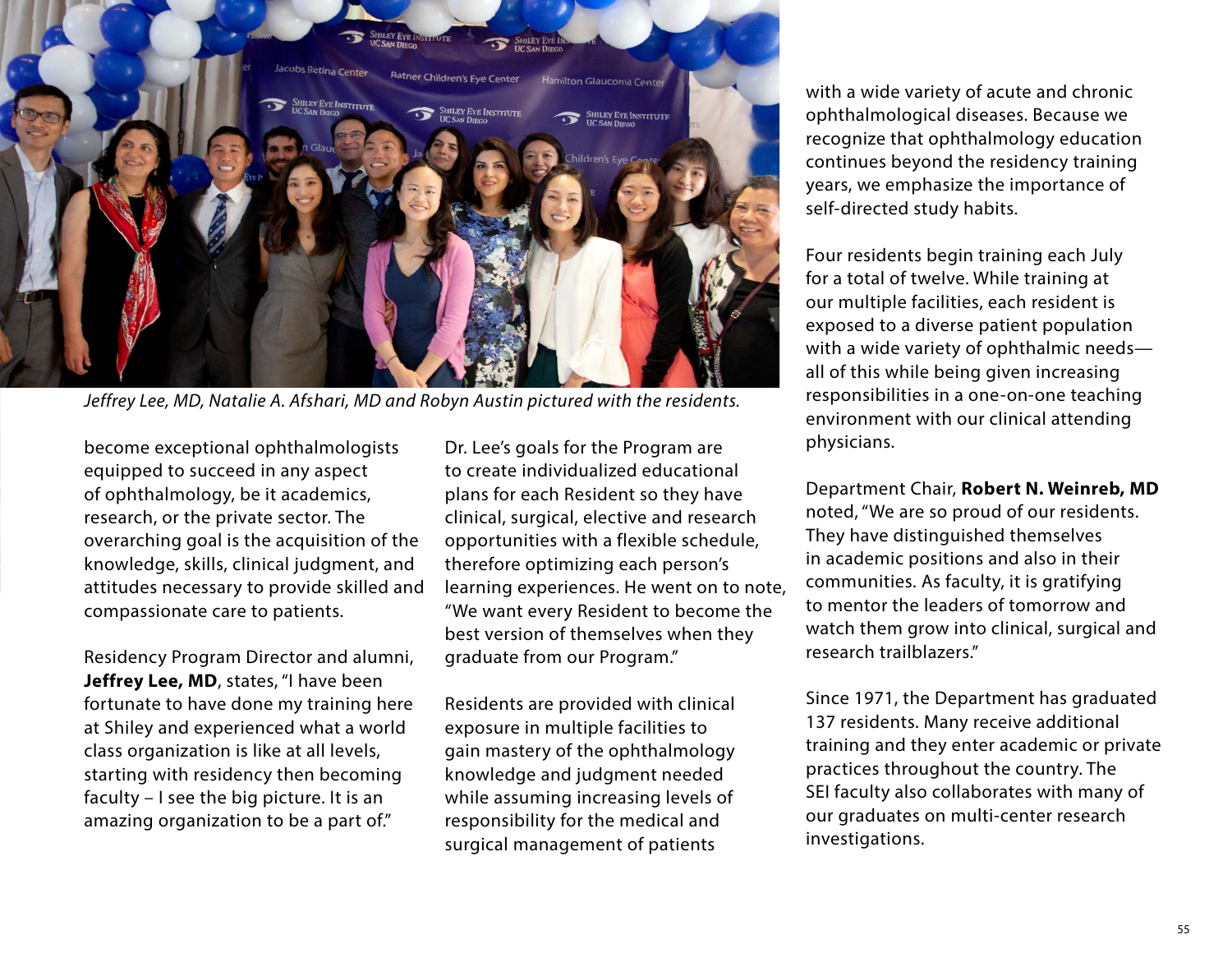

*Jeffrey Lee, MD, Natalie A. Afshari, MD and Robyn Austin pictured with the residents.* 

become exceptional ophthalmologists equipped to succeed in any aspect of ophthalmology, be it academics, research, or the private sector. The overarching goal is the acquisition of the knowledge, skills, clinical judgment, and attitudes necessary to provide skilled and compassionate care to patients.

Residency Program Director and alumni, **Jeffrey Lee, MD**, states, "I have been fortunate to have done my training here at Shiley and experienced what a world class organization is like at all levels, starting with residency then becoming faculty – I see the big picture. It is an amazing organization to be a part of."

Dr. Lee's goals for the Program are to create individualized educational plans for each Resident so they have clinical, surgical, elective and research opportunities with a flexible schedule, therefore optimizing each person's learning experiences. He went on to note, "We want every Resident to become the best version of themselves when they graduate from our Program."

Residents are provided with clinical exposure in multiple facilities to gain mastery of the ophthalmology knowledge and judgment needed while assuming increasing levels of responsibility for the medical and surgical management of patients

with a wide variety of acute and chronic ophthalmological diseases. Because we recognize that ophthalmology education continues beyond the residency training years, we emphasize the importance of self-directed study habits.

Four residents begin training each July for a total of twelve. While training at our multiple facilities, each resident is exposed to a diverse patient population with a wide variety of ophthalmic needs all of this while being given increasing responsibilities in a one-on-one teaching environment with our clinical attending physicians.

Department Chair, **Robert N. Weinreb, MD** noted, "We are so proud of our residents. They have distinguished themselves in academic positions and also in their communities. As faculty, it is gratifying to mentor the leaders of tomorrow and watch them grow into clinical, surgical and research trailblazers."

Since 1971, the Department has graduated 137 residents. Many receive additional training and they enter academic or private practices throughout the country. The SEI faculty also collaborates with many of our graduates on multi-center research investigations.